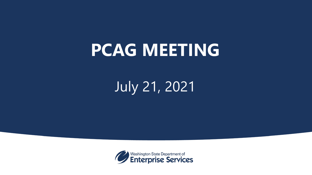# **PCAG MEETING**

## July 21, 2021

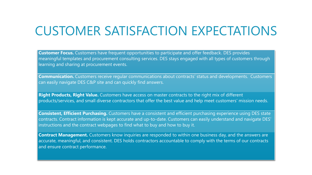### CUSTOMER SATISFACTION EXPECTATIONS

 **Customer Focus.** Customers have frequent opportunities to participate and offer feedback. DES provides meaningful templates and procurement consulting services. DES stays engaged with all types of customers through learning and sharing at procurement events.

 **Communication.** Customers receive regular communications about contracts' status and developments. Customers can easily navigate DES C&P site and can quickly find answers.

 **Right Products, Right Value.** Customers have access on master contracts to the right mix of different products/services, and small diverse contractors that offer the best value and help meet customers' mission needs.

 **Consistent, Efficient Purchasing.** Customers have a consistent and efficient purchasing experience using DES state contracts. Contract information is kept accurate and up-to-date. Customers can easily understand and navigate DES' instructions and the contract webpages to find what to buy and how to buy it.

 **Contract Management.** Customers know inquiries are responded to within one business day, and the answers are accurate, meaningful, and consistent. DES holds contractors accountable to comply with the terms of our contracts and ensure contract performance.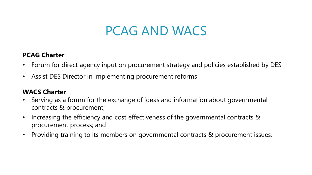### PCAG AND WACS

#### **PCAG Charter**

- Forum for direct agency input on procurement strategy and policies established by DES
- Assist DES Director in implementing procurement reforms

#### **WACS Charter**

- • Serving as a forum for the exchange of ideas and information about governmental contracts & procurement;
- • Increasing the efficiency and cost effectiveness of the governmental contracts & procurement process; and
- Providing training to its members on governmental contracts & procurement issues.